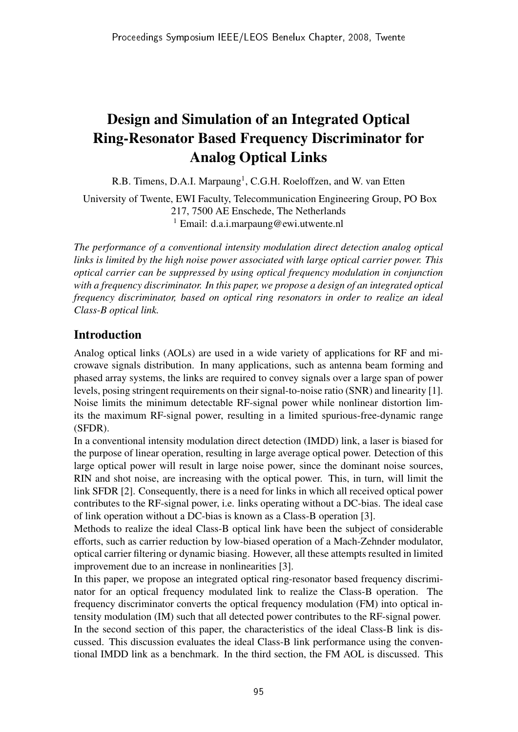# Design and Simulation of an Integrated Optical Ring-Resonator Based Frequency Discriminator for Analog Optical Links

R.B. Timens, D.A.I. Marpaung<sup>1</sup>, C.G.H. Roeloffzen, and W. van Etten

University of Twente, EWI Faculty, Telecommunication Engineering Group, PO Box 217, 7500 AE Enschede, The Netherlands <sup>1</sup> Email: d.a.i.marpaung@ewi.utwente.nl

*The performance of a conventional intensity modulation direct detection analog optical links is limited by the high noise power associated with large optical carrier power. This optical carrier can be suppressed by using optical frequency modulation in conjunction with a frequency discriminator. In this paper, we propose a design of an integrated optical frequency discriminator, based on optical ring resonators in order to realize an ideal Class-B optical link.*

# Introduction

Analog optical links (AOLs) are used in a wide variety of applications for RF and microwave signals distribution. In many applications, such as antenna beam forming and phased array systems, the links are required to convey signals over a large span of power levels, posing stringent requirements on their signal-to-noise ratio (SNR) and linearity [1]. Noise limits the minimum detectable RF-signal power while nonlinear distortion limits the maximum RF-signal power, resulting in a limited spurious-free-dynamic range (SFDR).

In a conventional intensity modulation direct detection (IMDD) link, a laser is biased for the purpose of linear operation, resulting in large average optical power. Detection of this large optical power will result in large noise power, since the dominant noise sources, RIN and shot noise, are increasing with the optical power. This, in turn, will limit the link SFDR [2]. Consequently, there is a need for links in which all received optical power contributes to the RF-signal power, i.e. links operating without a DC-bias. The ideal case of link operation without a DC-bias is known as a Class-B operation [3].

Methods to realize the ideal Class-B optical link have been the subject of considerable efforts, such as carrier reduction by low-biased operation of a Mach-Zehnder modulator, optical carrier filtering or dynamic biasing. However, all these attempts resulted in limited improvement due to an increase in nonlinearities [3].

In this paper, we propose an integrated optical ring-resonator based frequency discriminator for an optical frequency modulated link to realize the Class-B operation. The frequency discriminator converts the optical frequency modulation (FM) into optical intensity modulation (IM) such that all detected power contributes to the RF-signal power. In the second section of this paper, the characteristics of the ideal Class-B link is discussed. This discussion evaluates the ideal Class-B link performance using the conventional IMDD link as a benchmark. In the third section, the FM AOL is discussed. This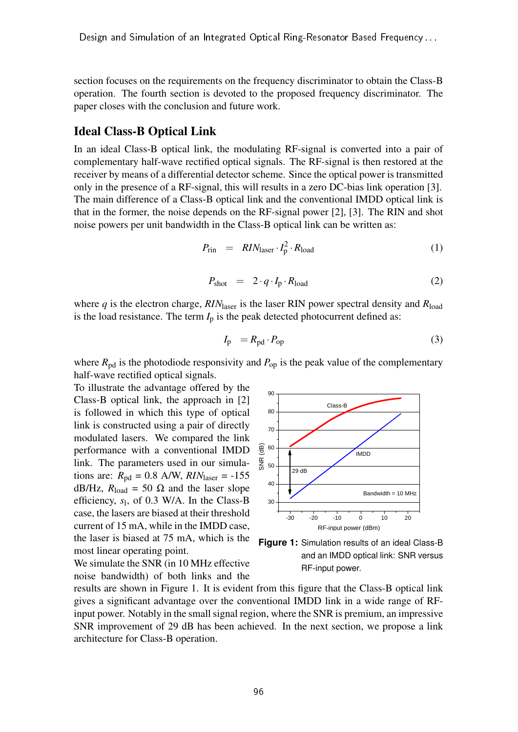section focuses on the requirements on the frequency discriminator to obtain the Class-B operation. The fourth section is devoted to the proposed frequency discriminator. The paper closes with the conclusion and future work.

#### Ideal Class-B Optical Link

In an ideal Class-B optical link, the modulating RF-signal is converted into a pair of complementary half-wave rectified optical signals. The RF-signal is then restored at the receiver by means of a differential detector scheme. Since the optical power is transmitted only in the presence of a RF-signal, this will results in a zero DC-bias link operation [3]. The main difference of a Class-B optical link and the conventional IMDD optical link is that in the former, the noise depends on the RF-signal power [2], [3]. The RIN and shot noise powers per unit bandwidth in the Class-B optical link can be written as:

$$
P_{\rm rin} = R I N_{\rm laser} \cdot I_{\rm p}^2 \cdot R_{\rm load} \tag{1}
$$

$$
P_{\text{shot}} = 2 \cdot q \cdot I_p \cdot R_{\text{load}} \tag{2}
$$

where  $q$  is the electron charge,  $RIN_{\text{laser}}$  is the laser RIN power spectral density and  $R_{\text{load}}$ is the load resistance. The term  $I_p$  is the peak detected photocurrent defined as:

$$
I_{\rm p} = R_{\rm pd} \cdot P_{\rm op} \tag{3}
$$

where  $R_{\text{pd}}$  is the photodiode responsivity and  $P_{\text{op}}$  is the peak value of the complementary half-wave rectified optical signals.

To illustrate the advantage offered by the Class-B optical link, the approach in [2] is followed in which this type of optical link is constructed using a pair of directly modulated lasers. We compared the link performance with a conventional IMDD link. The parameters used in our simulations are:  $R_{\text{pd}} = 0.8$  A/W,  $RIN_{\text{laser}} = -155$ dB/Hz,  $R_{load} = 50$  Ω and the laser slope efficiency,  $s_1$ , of 0.3 W/A. In the Class-B case, the lasers are biased at their threshold current of 15 mA, while in the IMDD case, the laser is biased at 75 mA, which is the most linear operating point.

We simulate the SNR (in 10 MHz effective noise bandwidth) of both links and the



**Figure 1:** Simulation results of an ideal Class-B and an IMDD optical link: SNR versus RF-input power.

results are shown in Figure 1. It is evident from this figure that the Class-B optical link gives a significant advantage over the conventional IMDD link in a wide range of RFinput power. Notably in the small signal region, where the SNR is premium, an impressive SNR improvement of 29 dB has been achieved. In the next section, we propose a link architecture for Class-B operation.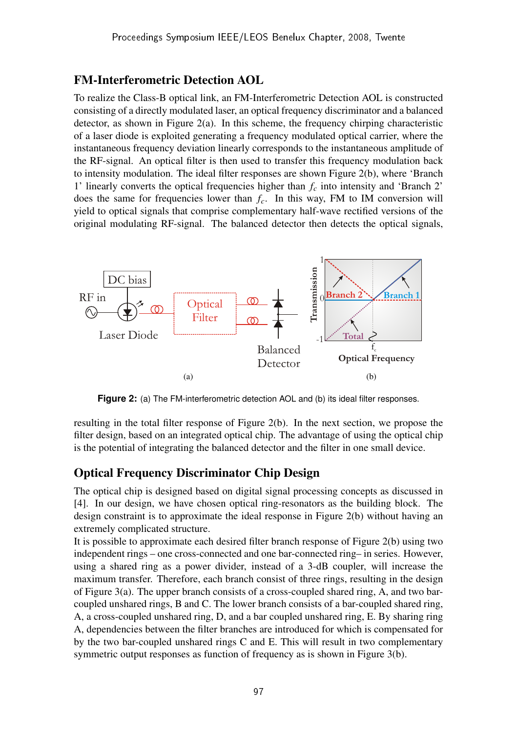### FM-Interferometric Detection AOL

To realize the Class-B optical link, an FM-Interferometric Detection AOL is constructed consisting of a directly modulated laser, an optical frequency discriminator and a balanced detector, as shown in Figure 2(a). In this scheme, the frequency chirping characteristic of a laser diode is exploited generating a frequency modulated optical carrier, where the instantaneous frequency deviation linearly corresponds to the instantaneous amplitude of the RF-signal. An optical filter is then used to transfer this frequency modulation back to intensity modulation. The ideal filter responses are shown Figure 2(b), where 'Branch 1' linearly converts the optical frequencies higher than *f<sup>c</sup>* into intensity and 'Branch 2' does the same for frequencies lower than *fc*. In this way, FM to IM conversion will yield to optical signals that comprise complementary half-wave rectified versions of the original modulating RF-signal. The balanced detector then detects the optical signals,



**Figure 2:** (a) The FM-interferometric detection AOL and (b) its ideal filter responses.

resulting in the total filter response of Figure 2(b). In the next section, we propose the filter design, based on an integrated optical chip. The advantage of using the optical chip is the potential of integrating the balanced detector and the filter in one small device.

## Optical Frequency Discriminator Chip Design

The optical chip is designed based on digital signal processing concepts as discussed in [4]. In our design, we have chosen optical ring-resonators as the building block. The design constraint is to approximate the ideal response in Figure 2(b) without having an extremely complicated structure.

It is possible to approximate each desired filter branch response of Figure 2(b) using two independent rings – one cross-connected and one bar-connected ring– in series. However, using a shared ring as a power divider, instead of a 3-dB coupler, will increase the maximum transfer. Therefore, each branch consist of three rings, resulting in the design of Figure 3(a). The upper branch consists of a cross-coupled shared ring, A, and two barcoupled unshared rings, B and C. The lower branch consists of a bar-coupled shared ring, A, a cross-coupled unshared ring, D, and a bar coupled unshared ring, E. By sharing ring A, dependencies between the filter branches are introduced for which is compensated for by the two bar-coupled unshared rings C and E. This will result in two complementary symmetric output responses as function of frequency as is shown in Figure 3(b).